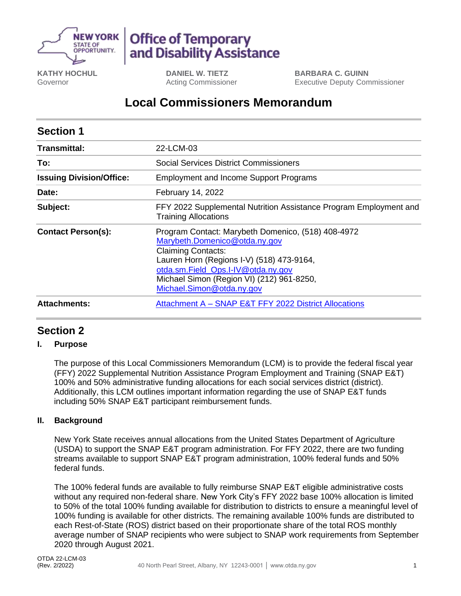

# **Office of Temporary** and Disability Assistance

**KATHY HOCHUL** Governor

**DANIEL W. TIETZ** Acting Commissioner **BARBARA C. GUINN** Executive Deputy Commissioner

## **Local Commissioners Memorandum**

| <b>Section 1</b>                |                                                                                                                                                                                                                                                                               |
|---------------------------------|-------------------------------------------------------------------------------------------------------------------------------------------------------------------------------------------------------------------------------------------------------------------------------|
| <b>Transmittal:</b>             | 22-LCM-03                                                                                                                                                                                                                                                                     |
| To:                             | <b>Social Services District Commissioners</b>                                                                                                                                                                                                                                 |
| <b>Issuing Division/Office:</b> | <b>Employment and Income Support Programs</b>                                                                                                                                                                                                                                 |
| Date:                           | February 14, 2022                                                                                                                                                                                                                                                             |
| Subject:                        | FFY 2022 Supplemental Nutrition Assistance Program Employment and<br><b>Training Allocations</b>                                                                                                                                                                              |
| <b>Contact Person(s):</b>       | Program Contact: Marybeth Domenico, (518) 408-4972<br>Marybeth.Domenico@otda.ny.gov<br><b>Claiming Contacts:</b><br>Lauren Horn (Regions I-V) (518) 473-9164,<br>otda.sm.Field_Ops.I-IV@otda.ny.gov<br>Michael Simon (Region VI) (212) 961-8250,<br>Michael.Simon@otda.ny.gov |
| <b>Attachments:</b>             | Attachment A - SNAP E&T FFY 2022 District Allocations                                                                                                                                                                                                                         |

## **Section 2**

#### **I. Purpose**

The purpose of this Local Commissioners Memorandum (LCM) is to provide the federal fiscal year (FFY) 2022 Supplemental Nutrition Assistance Program Employment and Training (SNAP E&T) 100% and 50% administrative funding allocations for each social services district (district). Additionally, this LCM outlines important information regarding the use of SNAP E&T funds including 50% SNAP E&T participant reimbursement funds.

#### **II. Background**

New York State receives annual allocations from the United States Department of Agriculture (USDA) to support the SNAP E&T program administration. For FFY 2022, there are two funding streams available to support SNAP E&T program administration, 100% federal funds and 50% federal funds.

The 100% federal funds are available to fully reimburse SNAP E&T eligible administrative costs without any required non-federal share. New York City's FFY 2022 base 100% allocation is limited to 50% of the total 100% funding available for distribution to districts to ensure a meaningful level of 100% funding is available for other districts. The remaining available 100% funds are distributed to each Rest-of-State (ROS) district based on their proportionate share of the total ROS monthly average number of SNAP recipients who were subject to SNAP work requirements from September 2020 through August 2021.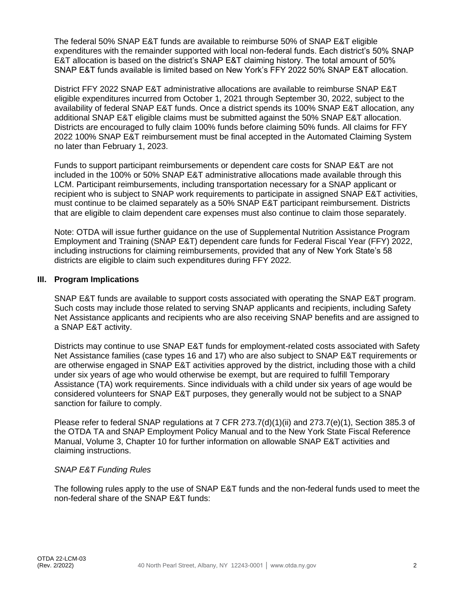The federal 50% SNAP E&T funds are available to reimburse 50% of SNAP E&T eligible expenditures with the remainder supported with local non-federal funds. Each district's 50% SNAP E&T allocation is based on the district's SNAP E&T claiming history. The total amount of 50% SNAP E&T funds available is limited based on New York's FFY 2022 50% SNAP E&T allocation.

District FFY 2022 SNAP E&T administrative allocations are available to reimburse SNAP E&T eligible expenditures incurred from October 1, 2021 through September 30, 2022, subject to the availability of federal SNAP E&T funds. Once a district spends its 100% SNAP E&T allocation, any additional SNAP E&T eligible claims must be submitted against the 50% SNAP E&T allocation. Districts are encouraged to fully claim 100% funds before claiming 50% funds. All claims for FFY 2022 100% SNAP E&T reimbursement must be final accepted in the Automated Claiming System no later than February 1, 2023.

Funds to support participant reimbursements or dependent care costs for SNAP E&T are not included in the 100% or 50% SNAP E&T administrative allocations made available through this LCM. Participant reimbursements, including transportation necessary for a SNAP applicant or recipient who is subject to SNAP work requirements to participate in assigned SNAP E&T activities, must continue to be claimed separately as a 50% SNAP E&T participant reimbursement. Districts that are eligible to claim dependent care expenses must also continue to claim those separately.

Note: OTDA will issue further guidance on the use of Supplemental Nutrition Assistance Program Employment and Training (SNAP E&T) dependent care funds for Federal Fiscal Year (FFY) 2022, including instructions for claiming reimbursements, provided that any of New York State's 58 districts are eligible to claim such expenditures during FFY 2022.

#### **III. Program Implications**

SNAP E&T funds are available to support costs associated with operating the SNAP E&T program. Such costs may include those related to serving SNAP applicants and recipients, including Safety Net Assistance applicants and recipients who are also receiving SNAP benefits and are assigned to a SNAP E&T activity.

Districts may continue to use SNAP E&T funds for employment-related costs associated with Safety Net Assistance families (case types 16 and 17) who are also subject to SNAP E&T requirements or are otherwise engaged in SNAP E&T activities approved by the district, including those with a child under six years of age who would otherwise be exempt, but are required to fulfill Temporary Assistance (TA) work requirements. Since individuals with a child under six years of age would be considered volunteers for SNAP E&T purposes, they generally would not be subject to a SNAP sanction for failure to comply.

Please refer to federal SNAP regulations at 7 CFR 273.7(d)(1)(ii) and 273.7(e)(1), Section 385.3 of the OTDA TA and SNAP Employment Policy Manual and to the New York State Fiscal Reference Manual, Volume 3, Chapter 10 for further information on allowable SNAP E&T activities and claiming instructions.

#### *SNAP E&T Funding Rules*

The following rules apply to the use of SNAP E&T funds and the non-federal funds used to meet the non-federal share of the SNAP E&T funds: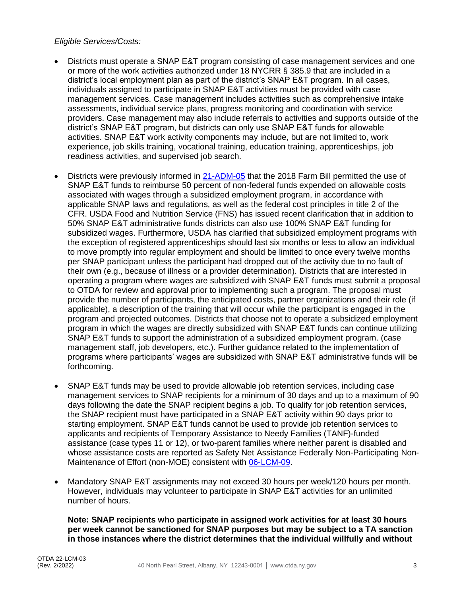#### *Eligible Services/Costs:*

- Districts must operate a SNAP E&T program consisting of case management services and one or more of the work activities authorized under 18 NYCRR § 385.9 that are included in a district's local employment plan as part of the district's SNAP E&T program. In all cases, individuals assigned to participate in SNAP E&T activities must be provided with case management services. Case management includes activities such as comprehensive intake assessments, individual service plans, progress monitoring and coordination with service providers. Case management may also include referrals to activities and supports outside of the district's SNAP E&T program, but districts can only use SNAP E&T funds for allowable activities. SNAP E&T work activity components may include, but are not limited to, work experience, job skills training, vocational training, education training, apprenticeships, job readiness activities, and supervised job search.
- Districts were previously informed in [21-ADM-05](https://otda.ny.gov/policy/directives/2021/ADM/21-ADM-05.pdf) that the 2018 Farm Bill permitted the use of SNAP E&T funds to reimburse 50 percent of non-federal funds expended on allowable costs associated with wages through a subsidized employment program, in accordance with applicable SNAP laws and regulations, as well as the federal cost principles in title 2 of the CFR. USDA Food and Nutrition Service (FNS) has issued recent clarification that in addition to 50% SNAP E&T administrative funds districts can also use 100% SNAP E&T funding for subsidized wages. Furthermore, USDA has clarified that subsidized employment programs with the exception of registered apprenticeships should last six months or less to allow an individual to move promptly into regular employment and should be limited to once every twelve months per SNAP participant unless the participant had dropped out of the activity due to no fault of their own (e.g., because of illness or a provider determination). Districts that are interested in operating a program where wages are subsidized with SNAP E&T funds must submit a proposal to OTDA for review and approval prior to implementing such a program. The proposal must provide the number of participants, the anticipated costs, partner organizations and their role (if applicable), a description of the training that will occur while the participant is engaged in the program and projected outcomes. Districts that choose not to operate a subsidized employment program in which the wages are directly subsidized with SNAP E&T funds can continue utilizing SNAP E&T funds to support the administration of a subsidized employment program. (case management staff, job developers, etc.). Further guidance related to the implementation of programs where participants' wages are subsidized with SNAP E&T administrative funds will be forthcoming.
- SNAP E&T funds may be used to provide allowable job retention services, including case management services to SNAP recipients for a minimum of 30 days and up to a maximum of 90 days following the date the SNAP recipient begins a job. To qualify for job retention services, the SNAP recipient must have participated in a SNAP E&T activity within 90 days prior to starting employment. SNAP E&T funds cannot be used to provide job retention services to applicants and recipients of Temporary Assistance to Needy Families (TANF)-funded assistance (case types 11 or 12), or two-parent families where neither parent is disabled and whose assistance costs are reported as Safety Net Assistance Federally Non-Participating Non-Maintenance of Effort (non-MOE) consistent with [06-LCM-09.](http://otda.ny.gov/policy/directives/2006/LCM/06-LCM-09.pdf)
- Mandatory SNAP E&T assignments may not exceed 30 hours per week/120 hours per month. However, individuals may volunteer to participate in SNAP E&T activities for an unlimited number of hours.

**Note: SNAP recipients who participate in assigned work activities for at least 30 hours per week cannot be sanctioned for SNAP purposes but may be subject to a TA sanction in those instances where the district determines that the individual willfully and without**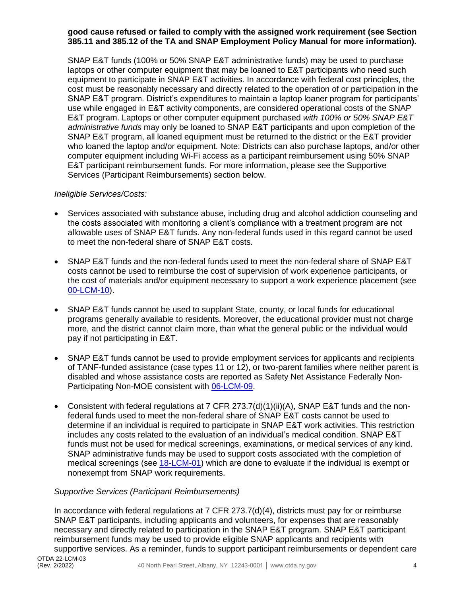#### **good cause refused or failed to comply with the assigned work requirement (see Section 385.11 and 385.12 of the TA and SNAP Employment Policy Manual for more information).**

SNAP E&T funds (100% or 50% SNAP E&T administrative funds) may be used to purchase laptops or other computer equipment that may be loaned to E&T participants who need such equipment to participate in SNAP E&T activities. In accordance with federal cost principles, the cost must be reasonably necessary and directly related to the operation of or participation in the SNAP E&T program. District's expenditures to maintain a laptop loaner program for participants' use while engaged in E&T activity components, are considered operational costs of the SNAP E&T program. Laptops or other computer equipment purchased *with 100% or 50% SNAP E&T administrative funds* may only be loaned to SNAP E&T participants and upon completion of the SNAP E&T program, all loaned equipment must be returned to the district or the E&T provider who loaned the laptop and/or equipment. Note: Districts can also purchase laptops, and/or other computer equipment including Wi-Fi access as a participant reimbursement using 50% SNAP E&T participant reimbursement funds. For more information, please see the Supportive Services (Participant Reimbursements) section below.

#### *Ineligible Services/Costs:*

- Services associated with substance abuse, including drug and alcohol addiction counseling and the costs associated with monitoring a client's compliance with a treatment program are not allowable uses of SNAP E&T funds. Any non-federal funds used in this regard cannot be used to meet the non-federal share of SNAP E&T costs.
- SNAP E&T funds and the non-federal funds used to meet the non-federal share of SNAP E&T costs cannot be used to reimburse the cost of supervision of work experience participants, or the cost of materials and/or equipment necessary to support a work experience placement (see [00-LCM-10\)](http://otda.ny.gov/policy/directives/2000/LCM/00_LCM-10.pdf).
- SNAP E&T funds cannot be used to supplant State, county, or local funds for educational programs generally available to residents. Moreover, the educational provider must not charge more, and the district cannot claim more, than what the general public or the individual would pay if not participating in E&T.
- SNAP E&T funds cannot be used to provide employment services for applicants and recipients of TANF-funded assistance (case types 11 or 12), or two-parent families where neither parent is disabled and whose assistance costs are reported as Safety Net Assistance Federally Non-Participating Non-MOE consistent with [06-LCM-09.](http://otda.ny.gov/policy/directives/2006/LCM/06-LCM-09.pdf)
- Consistent with federal regulations at 7 CFR 273.7(d)(1)(ii)(A), SNAP E&T funds and the nonfederal funds used to meet the non-federal share of SNAP E&T costs cannot be used to determine if an individual is required to participate in SNAP E&T work activities. This restriction includes any costs related to the evaluation of an individual's medical condition. SNAP E&T funds must not be used for medical screenings, examinations, or medical services of any kind. SNAP administrative funds may be used to support costs associated with the completion of medical screenings (see [18-LCM-01\)](http://otda.ny.gov/policy/directives/2018/LCM/18-LCM-01.pdf) which are done to evaluate if the individual is exempt or nonexempt from SNAP work requirements.

#### *Supportive Services (Participant Reimbursements)*

In accordance with federal regulations at 7 CFR 273.7(d)(4), districts must pay for or reimburse SNAP E&T participants, including applicants and volunteers, for expenses that are reasonably necessary and directly related to participation in the SNAP E&T program. SNAP E&T participant reimbursement funds may be used to provide eligible SNAP applicants and recipients with supportive services. As a reminder, funds to support participant reimbursements or dependent care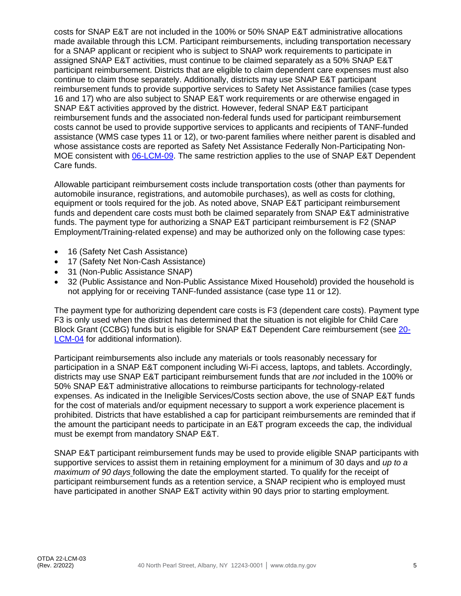costs for SNAP E&T are not included in the 100% or 50% SNAP E&T administrative allocations made available through this LCM. Participant reimbursements, including transportation necessary for a SNAP applicant or recipient who is subject to SNAP work requirements to participate in assigned SNAP E&T activities, must continue to be claimed separately as a 50% SNAP E&T participant reimbursement. Districts that are eligible to claim dependent care expenses must also continue to claim those separately. Additionally, districts may use SNAP E&T participant reimbursement funds to provide supportive services to Safety Net Assistance families (case types 16 and 17) who are also subject to SNAP E&T work requirements or are otherwise engaged in SNAP E&T activities approved by the district. However, federal SNAP E&T participant reimbursement funds and the associated non-federal funds used for participant reimbursement costs cannot be used to provide supportive services to applicants and recipients of TANF-funded assistance (WMS case types 11 or 12), or two-parent families where neither parent is disabled and whose assistance costs are reported as Safety Net Assistance Federally Non-Participating Non-MOE consistent with [06-LCM-09.](http://otda.ny.gov/policy/directives/2006/LCM/06-LCM-09.pdf) The same restriction applies to the use of SNAP E&T Dependent Care funds.

Allowable participant reimbursement costs include transportation costs (other than payments for automobile insurance, registrations, and automobile purchases), as well as costs for clothing, equipment or tools required for the job. As noted above, SNAP E&T participant reimbursement funds and dependent care costs must both be claimed separately from SNAP E&T administrative funds. The payment type for authorizing a SNAP E&T participant reimbursement is F2 (SNAP Employment/Training-related expense) and may be authorized only on the following case types:

- 16 (Safety Net Cash Assistance)
- 17 (Safety Net Non-Cash Assistance)
- 31 (Non-Public Assistance SNAP)
- 32 (Public Assistance and Non-Public Assistance Mixed Household) provided the household is not applying for or receiving TANF-funded assistance (case type 11 or 12).

The payment type for authorizing dependent care costs is F3 (dependent care costs). Payment type F3 is only used when the district has determined that the situation is not eligible for Child Care Block Grant (CCBG) funds but is eligible for SNAP E&T Dependent Care reimbursement (see [20-](https://otda.ny.gov/policy/directives/2020/LCM/20-LCM-04.pdf) [LCM-04](https://otda.ny.gov/policy/directives/2020/LCM/20-LCM-04.pdf) for additional information).

Participant reimbursements also include any materials or tools reasonably necessary for participation in a SNAP E&T component including Wi-Fi access, laptops, and tablets. Accordingly, districts may use SNAP E&T participant reimbursement funds that are *not* included in the 100% or 50% SNAP E&T administrative allocations to reimburse participants for technology-related expenses. As indicated in the Ineligible Services/Costs section above, the use of SNAP E&T funds for the cost of materials and/or equipment necessary to support a work experience placement is prohibited. Districts that have established a cap for participant reimbursements are reminded that if the amount the participant needs to participate in an E&T program exceeds the cap, the individual must be exempt from mandatory SNAP E&T.

SNAP E&T participant reimbursement funds may be used to provide eligible SNAP participants with supportive services to assist them in retaining employment for a minimum of 30 days and *up to a maximum of 90 days* following the date the employment started. To qualify for the receipt of participant reimbursement funds as a retention service, a SNAP recipient who is employed must have participated in another SNAP E&T activity within 90 days prior to starting employment.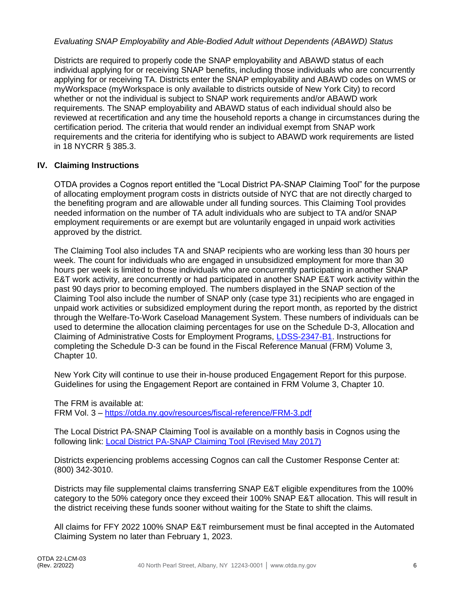#### *Evaluating SNAP Employability and Able-Bodied Adult without Dependents (ABAWD) Status*

Districts are required to properly code the SNAP employability and ABAWD status of each individual applying for or receiving SNAP benefits, including those individuals who are concurrently applying for or receiving TA. Districts enter the SNAP employability and ABAWD codes on WMS or myWorkspace (myWorkspace is only available to districts outside of New York City) to record whether or not the individual is subject to SNAP work requirements and/or ABAWD work requirements. The SNAP employability and ABAWD status of each individual should also be reviewed at recertification and any time the household reports a change in circumstances during the certification period. The criteria that would render an individual exempt from SNAP work requirements and the criteria for identifying who is subject to ABAWD work requirements are listed in 18 NYCRR § 385.3.

#### **IV. Claiming Instructions**

OTDA provides a Cognos report entitled the "Local District PA-SNAP Claiming Tool" for the purpose of allocating employment program costs in districts outside of NYC that are not directly charged to the benefiting program and are allowable under all funding sources. This Claiming Tool provides needed information on the number of TA adult individuals who are subject to TA and/or SNAP employment requirements or are exempt but are voluntarily engaged in unpaid work activities approved by the district.

The Claiming Tool also includes TA and SNAP recipients who are working less than 30 hours per week. The count for individuals who are engaged in unsubsidized employment for more than 30 hours per week is limited to those individuals who are concurrently participating in another SNAP E&T work activity, are concurrently or had participated in another SNAP E&T work activity within the past 90 days prior to becoming employed. The numbers displayed in the SNAP section of the Claiming Tool also include the number of SNAP only (case type 31) recipients who are engaged in unpaid work activities or subsidized employment during the report month, as reported by the district through the Welfare-To-Work Caseload Management System. These numbers of individuals can be used to determine the allocation claiming percentages for use on the Schedule D-3, Allocation and Claiming of Administrative Costs for Employment Programs, [LDSS-2347-B1.](http://otda.state.nyenet/ldss_eforms/eforms/2347B1.pdf) Instructions for completing the Schedule D-3 can be found in the Fiscal Reference Manual (FRM) Volume 3, Chapter 10.

New York City will continue to use their in-house produced Engagement Report for this purpose. Guidelines for using the Engagement Report are contained in FRM Volume 3, Chapter 10.

The FRM is available at: FRM Vol. 3 – <https://otda.ny.gov/resources/fiscal-reference/FRM-3.pdf>

The Local District PA-SNAP Claiming Tool is available on a monthly basis in Cognos using the following link: [Local District PA-SNAP Claiming Tool \(Revised May 2017\)](https://biservices.its.ny.gov/ibmcognos/bi/?pathRef=.public_folders%2FGlobal%2BReports%2FOTDA%2FEmployment%2BPrograms%2BReports%2FSNAP%2BE%2526T%2FLocal%2BDistrict%2BPA-SNAP%2BClaiming%2BTool%2B%2528Revised%2BMay%2B2017%2529)

Districts experiencing problems accessing Cognos can call the Customer Response Center at: (800) 342-3010.

Districts may file supplemental claims transferring SNAP E&T eligible expenditures from the 100% category to the 50% category once they exceed their 100% SNAP E&T allocation. This will result in the district receiving these funds sooner without waiting for the State to shift the claims.

All claims for FFY 2022 100% SNAP E&T reimbursement must be final accepted in the Automated Claiming System no later than February 1, 2023.